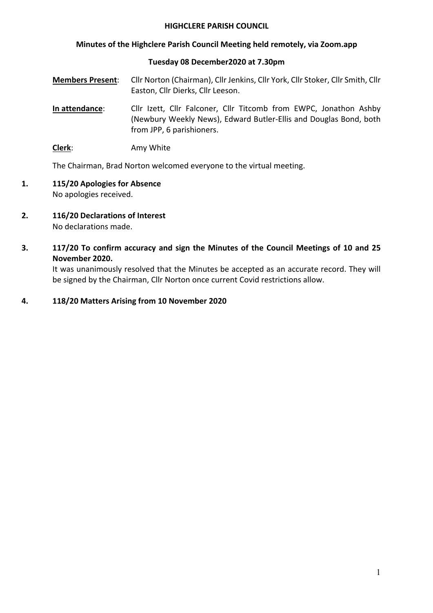#### **HIGHCLERE PARISH COUNCIL**

#### **Minutes of the Highclere Parish Council Meeting held remotely, via Zoom.app**

#### **Tuesday 08 December2020 at 7.30pm**

- **Members Present**: Cllr Norton (Chairman), Cllr Jenkins, Cllr York, Cllr Stoker, Cllr Smith, Cllr Easton, Cllr Dierks, Cllr Leeson.
- **In attendance**: Cllr Izett, Cllr Falconer, Cllr Titcomb from EWPC, Jonathon Ashby (Newbury Weekly News), Edward Butler-Ellis and Douglas Bond, both from JPP, 6 parishioners.
- **Clerk**: Amy White

The Chairman, Brad Norton welcomed everyone to the virtual meeting.

- **1. 115/20 Apologies for Absence** No apologies received.
- **2. 116/20 Declarations of Interest**  No declarations made.
- **3. 117/20 To confirm accuracy and sign the Minutes of the Council Meetings of 10 and 25 November 2020.**

It was unanimously resolved that the Minutes be accepted as an accurate record. They will be signed by the Chairman, Cllr Norton once current Covid restrictions allow.

#### **4. 118/20 Matters Arising from 10 November 2020**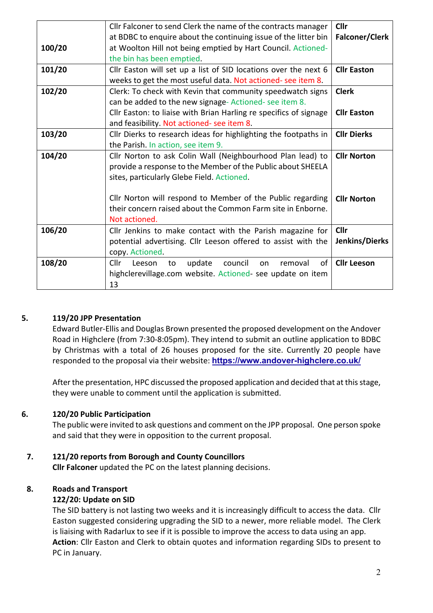|        | Cllr Falconer to send Clerk the name of the contracts manager     | <b>Cllr</b>           |
|--------|-------------------------------------------------------------------|-----------------------|
|        | at BDBC to enquire about the continuing issue of the litter bin   | <b>Falconer/Clerk</b> |
| 100/20 | at Woolton Hill not being emptied by Hart Council. Actioned-      |                       |
|        | the bin has been emptied.                                         |                       |
| 101/20 | Cllr Easton will set up a list of SID locations over the next 6   | <b>Cllr Easton</b>    |
|        | weeks to get the most useful data. Not actioned- see item 8.      |                       |
| 102/20 | Clerk: To check with Kevin that community speedwatch signs        | <b>Clerk</b>          |
|        | can be added to the new signage-Actioned-see item 8.              |                       |
|        | Cllr Easton: to liaise with Brian Harling re specifics of signage | <b>Cllr Easton</b>    |
|        | and feasibility. Not actioned- see item 8.                        |                       |
| 103/20 | Cllr Dierks to research ideas for highlighting the footpaths in   | <b>Cllr Dierks</b>    |
|        | the Parish. In action, see item 9.                                |                       |
| 104/20 | Cllr Norton to ask Colin Wall (Neighbourhood Plan lead) to        | <b>Cllr Norton</b>    |
|        | provide a response to the Member of the Public about SHEELA       |                       |
|        | sites, particularly Glebe Field. Actioned.                        |                       |
|        |                                                                   |                       |
|        | Cllr Norton will respond to Member of the Public regarding        | <b>Cllr Norton</b>    |
|        | their concern raised about the Common Farm site in Enborne.       |                       |
|        | Not actioned.                                                     |                       |
| 106/20 | Cllr Jenkins to make contact with the Parish magazine for         | <b>Cllr</b>           |
|        | potential advertising. Cllr Leeson offered to assist with the     | Jenkins/Dierks        |
|        | copy. Actioned.                                                   |                       |
| 108/20 | of<br>Cllr<br>update<br>council<br>removal<br>Leeson<br>to<br>on  | <b>Cllr Leeson</b>    |
|        | highclerevillage.com website. Actioned- see update on item        |                       |
|        | 13                                                                |                       |

## **5. 119/20 JPP Presentation**

Edward Butler-Ellis and Douglas Brown presented the proposed development on the Andover Road in Highclere (from 7:30-8:05pm). They intend to submit an outline application to BDBC by Christmas with a total of 26 houses proposed for the site. Currently 20 people have responded to the proposal via their website: **https://www.andover-highclere.co.uk/**

After the presentation, HPC discussed the proposed application and decided that at this stage, they were unable to comment until the application is submitted.

# **6. 120/20 Public Participation**

The public were invited to ask questions and comment on the JPP proposal. One person spoke and said that they were in opposition to the current proposal.

# **7. 121/20 reports from Borough and County Councillors**

**Cllr Falconer** updated the PC on the latest planning decisions.

# **8. Roads and Transport**

## **122/20: Update on SID**

The SID battery is not lasting two weeks and it is increasingly difficult to access the data. Cllr Easton suggested considering upgrading the SID to a newer, more reliable model. The Clerk is liaising with Radarlux to see if it is possible to improve the access to data using an app. **Action**: Cllr Easton and Clerk to obtain quotes and information regarding SIDs to present to PC in January.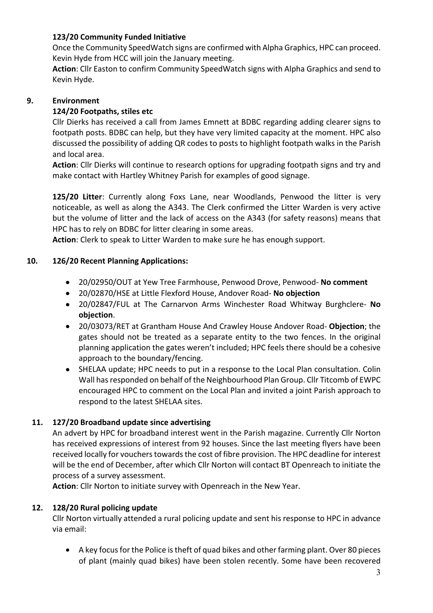## **123/20 Community Funded Initiative**

Once the Community SpeedWatch signs are confirmed with Alpha Graphics, HPC can proceed. Kevin Hyde from HCC will join the January meeting.

**Action**: Cllr Easton to confirm Community SpeedWatch signs with Alpha Graphics and send to Kevin Hyde.

# **9. Environment**

## **124/20 Footpaths, stiles etc**

Cllr Dierks has received a call from James Emnett at BDBC regarding adding clearer signs to footpath posts. BDBC can help, but they have very limited capacity at the moment. HPC also discussed the possibility of adding QR codes to posts to highlight footpath walks in the Parish and local area.

**Action**: Cllr Dierks will continue to research options for upgrading footpath signs and try and make contact with Hartley Whitney Parish for examples of good signage.

**125/20 Litter**: Currently along Foxs Lane, near Woodlands, Penwood the litter is very noticeable, as well as along the A343. The Clerk confirmed the Litter Warden is very active but the volume of litter and the lack of access on the A343 (for safety reasons) means that HPC has to rely on BDBC for litter clearing in some areas.

**Action**: Clerk to speak to Litter Warden to make sure he has enough support.

## **10. 126/20 Recent Planning Applications:**

- 20/02950/OUT at Yew Tree Farmhouse, Penwood Drove, Penwood- **No comment**
- 20/02870/HSE at Little Flexford House, Andover Road- **No objection**
- 20/02847/FUL at The Carnarvon Arms Winchester Road Whitway Burghclere- **No objection**.
- 20/03073/RET at Grantham House And Crawley House Andover Road- **Objection**; the gates should not be treated as a separate entity to the two fences. In the original planning application the gates weren't included; HPC feels there should be a cohesive approach to the boundary/fencing.
- SHELAA update; HPC needs to put in a response to the Local Plan consultation. Colin Wall has responded on behalf of the Neighbourhood Plan Group. Cllr Titcomb of EWPC encouraged HPC to comment on the Local Plan and invited a joint Parish approach to respond to the latest SHELAA sites.

# **11. 127/20 Broadband update since advertising**

An advert by HPC for broadband interest went in the Parish magazine. Currently Cllr Norton has received expressions of interest from 92 houses. Since the last meeting flyers have been received locally for vouchers towards the cost of fibre provision. The HPC deadline for interest will be the end of December, after which Cllr Norton will contact BT Openreach to initiate the process of a survey assessment.

**Action**: Cllr Norton to initiate survey with Openreach in the New Year.

## **12. 128/20 Rural policing update**

Cllr Norton virtually attended a rural policing update and sent his response to HPC in advance via email:

• A key focus for the Police is theft of quad bikes and other farming plant. Over 80 pieces of plant (mainly quad bikes) have been stolen recently. Some have been recovered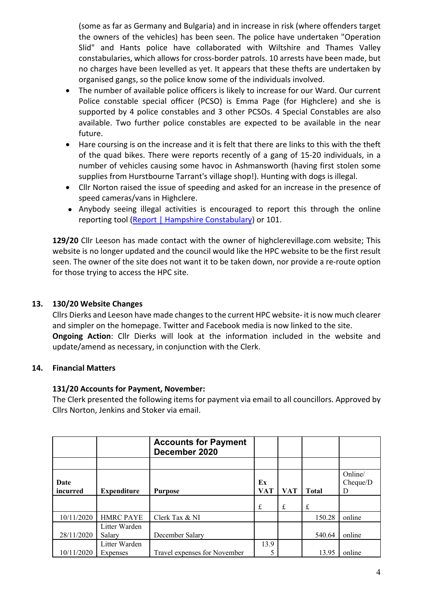(some as far as Germany and Bulgaria) and in increase in risk (where offenders target the owners of the vehicles) has been seen. The police have undertaken "Operation Slid" and Hants police have collaborated with Wiltshire and Thames Valley constabularies, which allows for cross-border patrols. 10 arrests have been made, but no charges have been levelled as yet. It appears that these thefts are undertaken by organised gangs, so the police know some of the individuals involved.

- The number of available police officers is likely to increase for our Ward. Our current Police constable special officer (PCSO) is Emma Page (for Highclere) and she is supported by 4 police constables and 3 other PCSOs. 4 Special Constables are also available. Two further police constables are expected to be available in the near future.
- Hare coursing is on the increase and it is felt that there are links to this with the theft of the quad bikes. There were reports recently of a gang of 15-20 individuals, in a number of vehicles causing some havoc in Ashmansworth (having first stolen some supplies from Hurstbourne Tarrant's village shop!). Hunting with dogs is illegal.
- Cllr Norton raised the issue of speeding and asked for an increase in the presence of speed cameras/vans in Highclere.
- Anybody seeing illegal activities is encouraged to report this through the online reporting tool (Report | Hampshire Constabulary) or 101.

**129/20** Cllr Leeson has made contact with the owner of highclerevillage.com website; This website is no longer updated and the council would like the HPC website to be the first result seen. The owner of the site does not want it to be taken down, nor provide a re-route option for those trying to access the HPC site.

## **13. 130/20 Website Changes**

Cllrs Dierks and Leeson have made changes to the current HPC website- it is now much clearer and simpler on the homepage. Twitter and Facebook media is now linked to the site. **Ongoing Action**: Cllr Dierks will look at the information included in the website and update/amend as necessary, in conjunction with the Clerk.

## **14. Financial Matters**

## **131/20 Accounts for Payment, November:**

The Clerk presented the following items for payment via email to all councillors. Approved by Cllrs Norton, Jenkins and Stoker via email.

|                         |                           | <b>Accounts for Payment</b><br>December 2020 |                  |            |              |                          |
|-------------------------|---------------------------|----------------------------------------------|------------------|------------|--------------|--------------------------|
|                         |                           |                                              |                  |            |              |                          |
| <b>Date</b><br>incurred | <b>Expenditure</b>        | <b>Purpose</b>                               | Ex<br><b>VAT</b> | <b>VAT</b> | <b>Total</b> | Online/<br>Cheque/D<br>D |
|                         |                           |                                              | $\mathbf f$      | £          | £            |                          |
| 10/11/2020              | <b>HMRC PAYE</b>          | Clerk Tax & NI                               |                  |            | 150.28       | online                   |
| 28/11/2020              | Litter Warden<br>Salary   | December Salary                              |                  |            | 540.64       | online                   |
| 10/11/2020              | Litter Warden<br>Expenses | Travel expenses for November                 | 13.9             |            | 13.95        | online                   |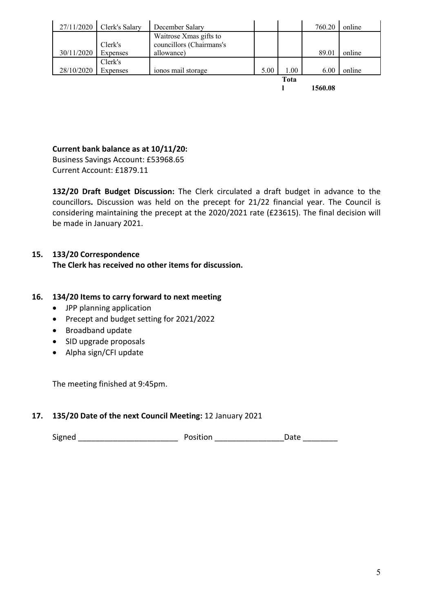| 27/11/2020 | Clerk's Salary | December Salary          |      |          | 760.20  | online |
|------------|----------------|--------------------------|------|----------|---------|--------|
|            |                | Waitrose Xmas gifts to   |      |          |         |        |
|            | Clerk's        | councillors (Chairmans's |      |          |         |        |
| 30/11/2020 | Expenses       | allowance)               |      |          | 89.01   | online |
|            | Clerk's        |                          |      |          |         |        |
| 28/10/2020 | Expenses       | ionos mail storage       | 5.00 | $1.00\,$ | 6.00    | online |
|            |                |                          |      | Tota     |         |        |
|            |                |                          |      |          | 1560.08 |        |

# **Current bank balance as at 10/11/20:**

Business Savings Account: £53968.65 Current Account: £1879.11

**132/20 Draft Budget Discussion:** The Clerk circulated a draft budget in advance to the councillors**.** Discussion was held on the precept for 21/22 financial year. The Council is considering maintaining the precept at the 2020/2021 rate (£23615). The final decision will be made in January 2021.

# **15. 133/20 Correspondence**

**The Clerk has received no other items for discussion.**

## **16. 134/20 Items to carry forward to next meeting**

- JPP planning application
- Precept and budget setting for 2021/2022
- Broadband update
- SID upgrade proposals
- Alpha sign/CFI update

The meeting finished at 9:45pm.

## **17. 135/20 Date of the next Council Meeting:** 12 January 2021

Signed \_\_\_\_\_\_\_\_\_\_\_\_\_\_\_\_\_\_\_\_\_\_\_ Position \_\_\_\_\_\_\_\_\_\_\_\_\_\_\_\_Date \_\_\_\_\_\_\_\_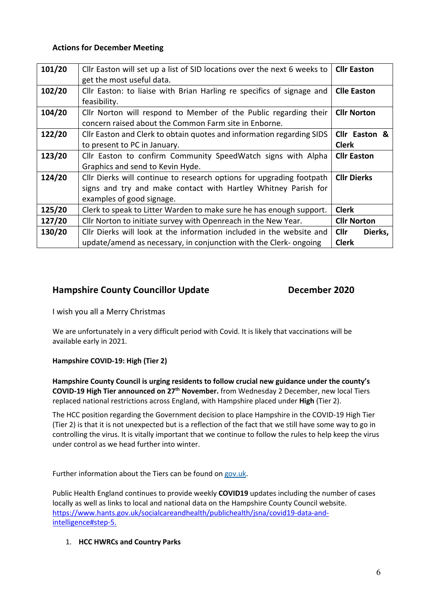#### **Actions for December Meeting**

| 101/20 | Cllr Easton will set up a list of SID locations over the next 6 weeks to | <b>Cllr Easton</b>     |  |
|--------|--------------------------------------------------------------------------|------------------------|--|
|        | get the most useful data.                                                |                        |  |
| 102/20 | Cllr Easton: to liaise with Brian Harling re specifics of signage and    | <b>Clle Easton</b>     |  |
|        | feasibility.                                                             |                        |  |
| 104/20 | Cllr Norton will respond to Member of the Public regarding their         | <b>Cllr Norton</b>     |  |
|        | concern raised about the Common Farm site in Enborne.                    |                        |  |
| 122/20 | Cllr Easton and Clerk to obtain quotes and information regarding SIDS    | Cllr Easton &          |  |
|        | to present to PC in January.                                             | <b>Clerk</b>           |  |
| 123/20 | Cllr Easton to confirm Community SpeedWatch signs with Alpha             | <b>Cllr Easton</b>     |  |
|        | Graphics and send to Kevin Hyde.                                         |                        |  |
| 124/20 | Cllr Dierks will continue to research options for upgrading footpath     | <b>Cllr Dierks</b>     |  |
|        | signs and try and make contact with Hartley Whitney Parish for           |                        |  |
|        | examples of good signage.                                                |                        |  |
| 125/20 | Clerk to speak to Litter Warden to make sure he has enough support.      | <b>Clerk</b>           |  |
| 127/20 | Cllr Norton to initiate survey with Openreach in the New Year.           | <b>Cllr Norton</b>     |  |
| 130/20 | Cllr Dierks will look at the information included in the website and     | <b>Cllr</b><br>Dierks, |  |
|        | update/amend as necessary, in conjunction with the Clerk- ongoing        | <b>Clerk</b>           |  |

## **Hampshire County Councillor Update December 2020**

I wish you all a Merry Christmas

We are unfortunately in a very difficult period with Covid. It is likely that vaccinations will be available early in 2021.

#### **Hampshire COVID-19: High (Tier 2)**

**Hampshire County Council is urging residents to follow crucial new guidance under the county's COVID-19 High Tier announced on 27th November.** from Wednesday 2 December, new local Tiers replaced national restrictions across England, with Hampshire placed under **High** (Tier 2).

The HCC position regarding the Government decision to place Hampshire in the COVID-19 High Tier (Tier 2) is that it is not unexpected but is a reflection of the fact that we still have some way to go in controlling the virus. It is vitally important that we continue to follow the rules to help keep the virus under control as we head further into winter.

Further information about the Tiers can be found on gov.uk.

Public Health England continues to provide weekly **COVID19** updates including the number of cases locally as well as links to local and national data on the Hampshire County Council website. https://www.hants.gov.uk/socialcareandhealth/publichealth/jsna/covid19-data-andintelligence#step-5.

## 1. **HCC HWRCs and Country Parks**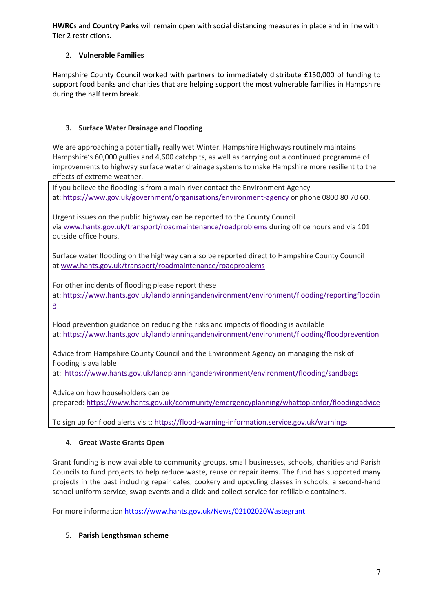**HWRC**s and **Country Parks** will remain open with social distancing measures in place and in line with Tier 2 restrictions.

## 2. **Vulnerable Families**

Hampshire County Council worked with partners to immediately distribute £150,000 of funding to support food banks and charities that are helping support the most vulnerable families in Hampshire during the half term break.

#### **3. Surface Water Drainage and Flooding**

We are approaching a potentially really wet Winter. Hampshire Highways routinely maintains Hampshire's 60,000 gullies and 4,600 catchpits, as well as carrying out a continued programme of improvements to highway surface water drainage systems to make Hampshire more resilient to the effects of extreme weather.

If you believe the flooding is from a main river contact the Environment Agency at: https://www.gov.uk/government/organisations/environment-agency or phone 0800 80 70 60.

Urgent issues on the public highway can be reported to the County Council via www.hants.gov.uk/transport/roadmaintenance/roadproblems during office hours and via 101 outside office hours.

Surface water flooding on the highway can also be reported direct to Hampshire County Council at www.hants.gov.uk/transport/roadmaintenance/roadproblems

For other incidents of flooding please report these at: https://www.hants.gov.uk/landplanningandenvironment/environment/flooding/reportingfloodin g

Flood prevention guidance on reducing the risks and impacts of flooding is available at: https://www.hants.gov.uk/landplanningandenvironment/environment/flooding/floodprevention

Advice from Hampshire County Council and the Environment Agency on managing the risk of flooding is available

at: https://www.hants.gov.uk/landplanningandenvironment/environment/flooding/sandbags

Advice on how householders can be

prepared: https://www.hants.gov.uk/community/emergencyplanning/whattoplanfor/floodingadvice

To sign up for flood alerts visit: https://flood-warning-information.service.gov.uk/warnings

#### **4. Great Waste Grants Open**

Grant funding is now available to community groups, small businesses, schools, charities and Parish Councils to fund projects to help reduce waste, reuse or repair items. The fund has supported many projects in the past including repair cafes, cookery and upcycling classes in schools, a second-hand school uniform service, swap events and a click and collect service for refillable containers.

For more information https://www.hants.gov.uk/News/02102020Wastegrant

#### 5. **Parish Lengthsman scheme**